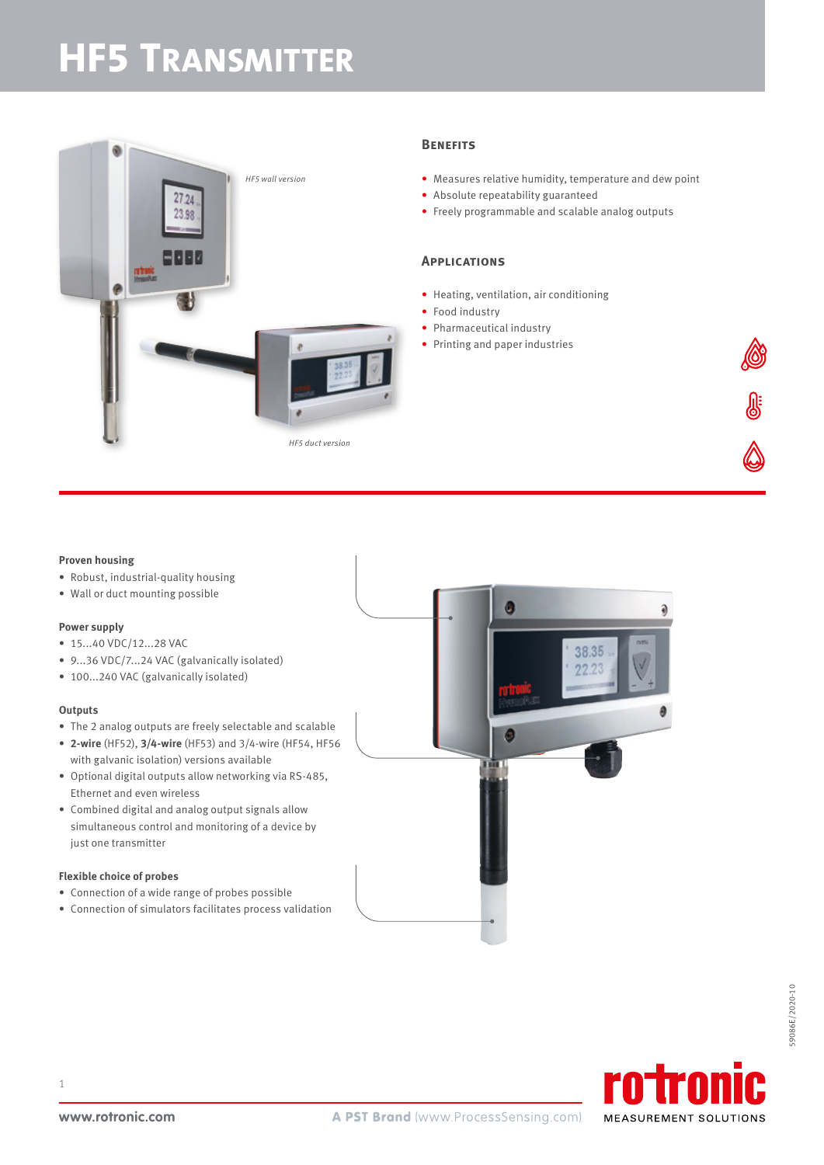# **HF5 TRANSMITTER**



### **Benefits**

- Measures relative humidity, temperature and dew point
- Absolute repeatability guaranteed
- Freely programmable and scalable analog outputs

### **Applications**

- Heating, ventilation, air conditioning
- Food industry
- Pharmaceutical industry
- Printing and paper industries

#### **Proven housing**

- Robust, industrial-quality housing
- Wall or duct mounting possible

### **Power supply**

- 15...40 VDC/12...28 VAC
- 9...36 VDC/7...24 VAC (galvanically isolated)
- 100...240 VAC (galvanically isolated)

#### **Outputs**

- The 2 analog outputs are freely selectable and scalable
- **2-wire** (HF52), **3/4-wire** (HF53) and 3/4-wire (HF54, HF56 with galvanic isolation) versions available
- Optional digital outputs allow networking via RS-485, Ethernet and even wireless
- Combined digital and analog output signals allow simultaneous control and monitoring of a device by just one transmitter

### **Flexible choice of probes**

- Connection of a wide range of probes possible
- Connection of simulators facilitates process validation



**JE** 



1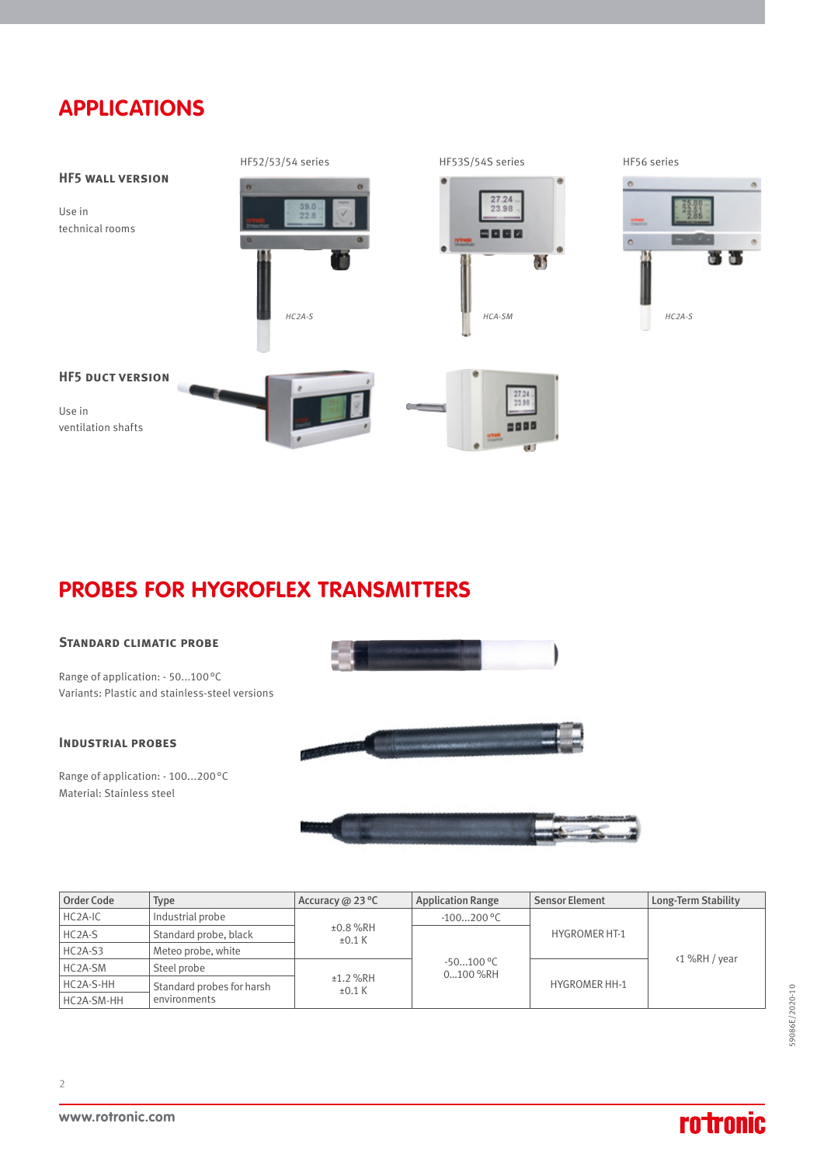### **APPLICATIONS**



### **PROBES FOR HYGROFLEX TRANSMITTERS**

### **Standard climatic probe**

Range of application: - 50...100°C Variants: Plastic and stainless-steel versions

### **Industrial probes**

Range of application: - 100...200°C Material: Stainless steel





| Order Code           | Type                      | Accuracy @ 23 °C          | <b>Application Range</b> | <b>Sensor Element</b> | Long-Term Stability |
|----------------------|---------------------------|---------------------------|--------------------------|-----------------------|---------------------|
| HC <sub>2</sub> A-IC | Industrial probe          | $±0.8$ %RH<br>$\pm 0.1$ K | $-100200$ °C             |                       | <1 %RH / year       |
| HC <sub>2</sub> A-S  | Standard probe, black     |                           | $-50100$ °C<br>0100 %RH  | <b>HYGROMER HT-1</b>  |                     |
| HC2A-S3              | Meteo probe, white        |                           |                          |                       |                     |
| HC2A-SM              | Steel probe               | ±1.2 %RH<br>$\pm 0.1$ K   |                          | <b>HYGROMER HH-1</b>  |                     |
| HC2A-S-HH            | Standard probes for harsh |                           |                          |                       |                     |
| HC2A-SM-HH           | environments              |                           |                          |                       |                     |

2

## **rotronic**